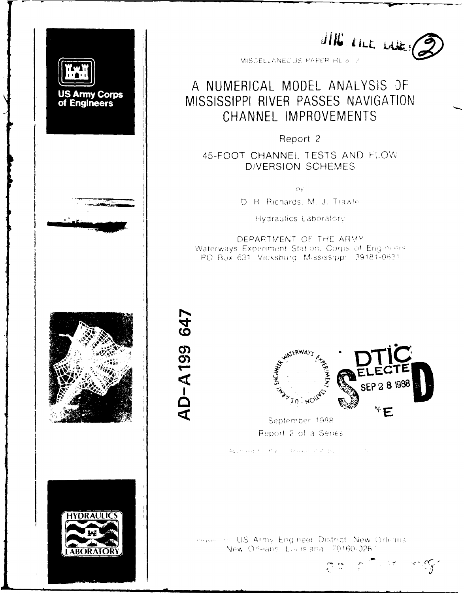

JING RILL LAKES

MISCELLANEOUS PAPER HL 8" 2

# A NUMERICAL MODEL ANALYSIS OF MISSISSIPPI RIVER PASSES NAVIGATION CHANNEL IMPROVEMENTS

Report 2

45-FOOT CHANNEL TESTS AND FLOW DIVERSION SCHEMES

 $\mathcal{W}$ 

D. R. Richards, M. J. Trawle

Hydraulics Laboratory

DEPARTMENT OF THE ARMY Waterways Experiment Station. Corps of Engineeris PO Bux 631, Vicksburg, Mississipp: 39181-0631



AD-A199 647



September 1988 Report 2 of a Series

Approved File Rubic Hereaper Distribution in the

make the US Army Engineer District New Orleans. New Orleans, Liu island. 70160-0261

 $\sum_{\mathbf{p}^{\prime} \in \mathcal{P}} \mathcal{P}(\mathbf{p}^{\prime} \in \mathcal{P}(\mathbf{p}^{\prime}))$  $\mathbb{C}$  :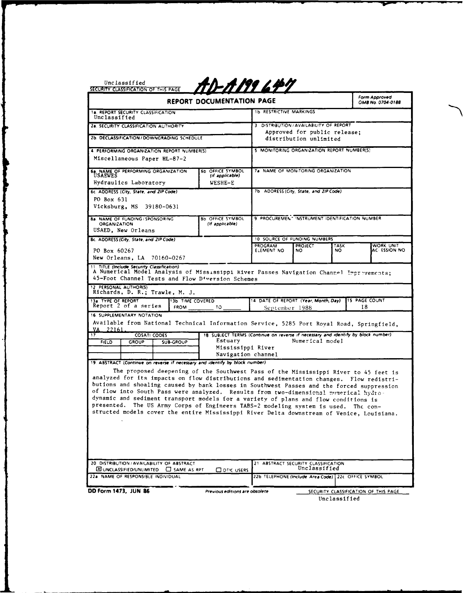|                                                                                                                                                                                                                                                                                                                                                                                                                                                                                                                                                                                                                                                   | REPORT DOCUMENTATION PAGE                                                                                                              | <u>-A 199</u> 6 Hr.            |                                                                                                            |             | Form Approved<br>OMB No. 0704-0188 |
|---------------------------------------------------------------------------------------------------------------------------------------------------------------------------------------------------------------------------------------------------------------------------------------------------------------------------------------------------------------------------------------------------------------------------------------------------------------------------------------------------------------------------------------------------------------------------------------------------------------------------------------------------|----------------------------------------------------------------------------------------------------------------------------------------|--------------------------------|------------------------------------------------------------------------------------------------------------|-------------|------------------------------------|
| <b>1a. REPORT SECURITY CLASSIFICATION</b><br>Unclassified                                                                                                                                                                                                                                                                                                                                                                                                                                                                                                                                                                                         |                                                                                                                                        | <b>1b RESTRICTIVE MARKINGS</b> |                                                                                                            |             |                                    |
| <b>2a. SECURITY CLASSIFICATION AUTHORITY</b>                                                                                                                                                                                                                                                                                                                                                                                                                                                                                                                                                                                                      |                                                                                                                                        |                                | 3 DISTRIBUTION / AVAILABILITY OF REPORT                                                                    |             |                                    |
| 2b. DECLASSIFICATION / DOWNGRADING SCHEDULE                                                                                                                                                                                                                                                                                                                                                                                                                                                                                                                                                                                                       |                                                                                                                                        |                                | Approved for public release;<br>distribution unlimited                                                     |             |                                    |
| 4. PERFORMING ORGANIZATION REPORT NUMBER(S)                                                                                                                                                                                                                                                                                                                                                                                                                                                                                                                                                                                                       |                                                                                                                                        |                                | 5 MONITORING ORGANIZATION REPORT NUMBER(S)                                                                 |             |                                    |
| Miscellaneous Paper HL-87-2                                                                                                                                                                                                                                                                                                                                                                                                                                                                                                                                                                                                                       |                                                                                                                                        |                                |                                                                                                            |             |                                    |
| 6a. NAME OF PERFORMING ORGANIZATION<br><b>USAEWES</b>                                                                                                                                                                                                                                                                                                                                                                                                                                                                                                                                                                                             | <b>6b OFFICE SYMBOL</b><br>(if applicable)                                                                                             |                                | 7a NAME OF MONITORING ORGANIZATION                                                                         |             |                                    |
| Hydraulics Laboratory                                                                                                                                                                                                                                                                                                                                                                                                                                                                                                                                                                                                                             | WESHE-E                                                                                                                                |                                |                                                                                                            |             |                                    |
| 6c. ADDRESS (City, State, and ZIP Code)                                                                                                                                                                                                                                                                                                                                                                                                                                                                                                                                                                                                           |                                                                                                                                        |                                | 7b ADDRESS (City, State, and ZIP Code)                                                                     |             |                                    |
| PO Box 631                                                                                                                                                                                                                                                                                                                                                                                                                                                                                                                                                                                                                                        |                                                                                                                                        |                                |                                                                                                            |             |                                    |
| Vicksburg, MS 39180-0631                                                                                                                                                                                                                                                                                                                                                                                                                                                                                                                                                                                                                          |                                                                                                                                        |                                |                                                                                                            |             |                                    |
| 8a. NAME OF FUNDING / SPONSORING<br><b>ORGANIZATION</b><br>USAED, New Orleans                                                                                                                                                                                                                                                                                                                                                                                                                                                                                                                                                                     | <b>8b OFFICE SYMBOL</b><br>(If applicable)                                                                                             |                                | 9 PROCUREMENT INSTRUMENT IDENTIFICATION NUMBER                                                             |             |                                    |
| 8c. ADDRESS (City, State, and ZIP Code)                                                                                                                                                                                                                                                                                                                                                                                                                                                                                                                                                                                                           |                                                                                                                                        |                                | 10 SOURCE OF FUNDING NUMBERS                                                                               |             |                                    |
| PO Box 60267<br>New Orleans, LA 70160-0267                                                                                                                                                                                                                                                                                                                                                                                                                                                                                                                                                                                                        |                                                                                                                                        | PROGRAM<br>ELEMENT NO          | <b>PROJECT</b><br>NO.                                                                                      | TASK<br>NO. | WORK UNIT<br>AC ESSION NO          |
| A Numerical Model Analysis of Mississippi kiver Passes Navigation Channel Imprevements;                                                                                                                                                                                                                                                                                                                                                                                                                                                                                                                                                           |                                                                                                                                        |                                |                                                                                                            |             |                                    |
| 45-Foot Channel Tests and Flow D <sup>4</sup> version Schemes<br>Richards, D. R.; Trawle, M. J.<br><b>13b TIME COVERED</b><br>Report 2 of a series<br><b>FROM</b>                                                                                                                                                                                                                                                                                                                                                                                                                                                                                 | 10                                                                                                                                     | September 1988                 | 14 DATE OF REPORT (Year, Month, Day)                                                                       |             | <b>15 PAGE COUNT</b><br>18         |
| Available from National Technical Information Service, 5285 Port Royal Road, Springfield,<br>22161.<br>VA<br><b>COSATI CODES</b><br><b>FIELD</b><br><b>GROUP</b><br>SUB-GROUP                                                                                                                                                                                                                                                                                                                                                                                                                                                                     | 18 SUBJECT TERMS (Continue on reverse if necessary and identify by block number)<br>Estuary<br>Mississippi River<br>Navigation channel |                                | Numerical model                                                                                            |             |                                    |
| The proposed deepening of the Southwest Pass of the Mississippi River to 45 feet is<br>analyzed for its impacts on flow distributions and sedimentation changes. Flow redistri-<br>butions and shoaling caused by bank losses in Southwest Passes and the forced suppression<br>of flow into South Pass were analyzed. Results from two-dimensional numerical hydro-<br>dynamic and sediment transport models for a variety of plans and flow conditions is<br>presented.<br>The US Army Corps of Engineers TABS-2 modeling system is used. The con-<br>structed models cover the entire Mississippi River Delta downstream of Venice, Louisiana. |                                                                                                                                        |                                |                                                                                                            |             |                                    |
| 12. PERSONAL AUTHOR(S)<br>13a. TYPE OF REPORT<br>16. SUPPLEMENTARY NOTATION<br>17<br>19. ABSTRACT (Continue on reverse if necessary and identify by block number)<br>20 DISTRIBUTION / AVAILABILITY OF ABSTRACT<br>ED UNCLASSIFIED/UNLIMITED <b>CO</b> SAME AS RPT<br>22a. NAME OF RESPONSIBLE INDIVIDUAL                                                                                                                                                                                                                                                                                                                                         | <b>CO DTIC USERS</b>                                                                                                                   |                                | 21 ABSTRACT SECURITY CLASSIFICATION<br>Unclassified<br>22b TELEPHONE (Include Area Code) 22c OFFICE SYMBOL |             |                                    |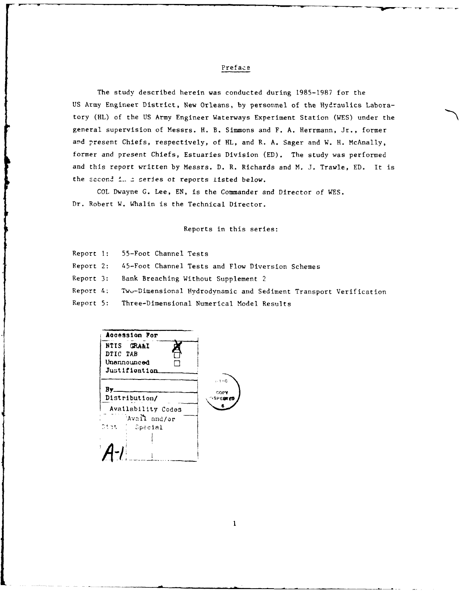### Preface

The study described herein was conducted during 1985-1987 for the US Army Engineer District, New Orleans, by personnel of the Hydraulics Laboratory (HL) of the US Army Engineer Waterways Experiment Station (WES) under the general supervision of Messrs. H. B. Simmons and F. A. Herrmann, Jr., former and present Chiefs, respectively, of HL, and R. A. Sager and W. H. McAnally, former and present Chiefs, Estuaries Division (ED). The study was performed and this report written by Messrs. D. R. Richards and M. J. Trawle, ED. It is the second *i. a* series ot reports listed below.

COL Dwayne **G.** Lee, EN, is the Commander and Director of WES. Dr. Robert W. Whalin is the Technical Director.

Reports in this series:

Report **1:** 55-Foot Channel Tests

Report 2: 45-Foot Channel Tests and Flow Diversion Schemes

Report 3: Bank Breaching Without Supplement 2

Report 4; Twu-Dimensional Hydrodynamic and Sediment Transport Verification

Report 5: Three-Dimensional Numerical Model Results

Aocession For **NTIS GRA&I** DTIC TAB Unannounced **F]** Justifioation  $1.11C$ Bv. COPY Distribution/ '4 Availability Codes **<sup>6</sup>**  $'$ Avail and/or **', ,** pecial

 $\mathbf{1}$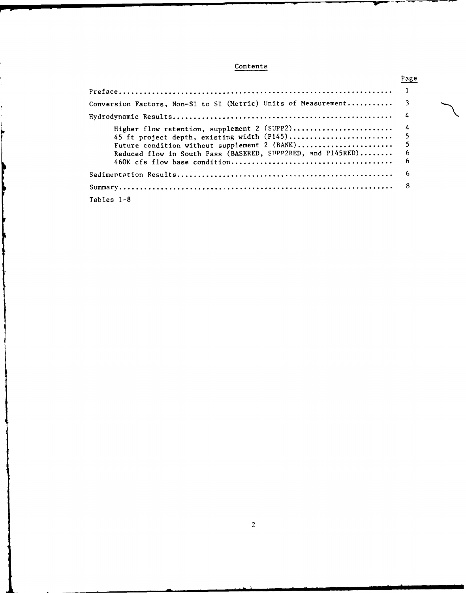# Contents

|                                                                  | Page |  |
|------------------------------------------------------------------|------|--|
|                                                                  |      |  |
| Conversion Factors, Non-SI to SI (Metric) Units of Measurement 3 |      |  |
|                                                                  |      |  |
| Higher flow retention, supplement 2 (SUPP2) 4                    |      |  |
|                                                                  |      |  |
|                                                                  |      |  |
| Reduced flow in South Pass (BASERED, SUPP2RED, and P145RED)      |      |  |
|                                                                  | -6   |  |
|                                                                  |      |  |
|                                                                  |      |  |
| Tables 1-8                                                       |      |  |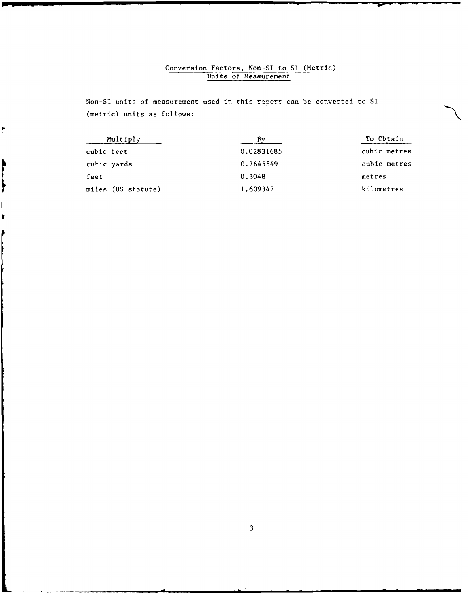# Conversion Factors, Non-Sl to Si (Metric) Units of Measurement

Non-Sl units of measurement used in this r2port can be converted to SI (metric) units as follows:

 $\overline{\phantom{a}}$ 

ķ

**Services** 

| Multiply           |            | To Obtain    |
|--------------------|------------|--------------|
| cubic feet         | 0.02831685 | cubic metres |
| cubic yards        | 0.7645549  | cubic metres |
| feet               | 0.3048     | metres       |
| miles (US statute) | 1,609347   | kilometres   |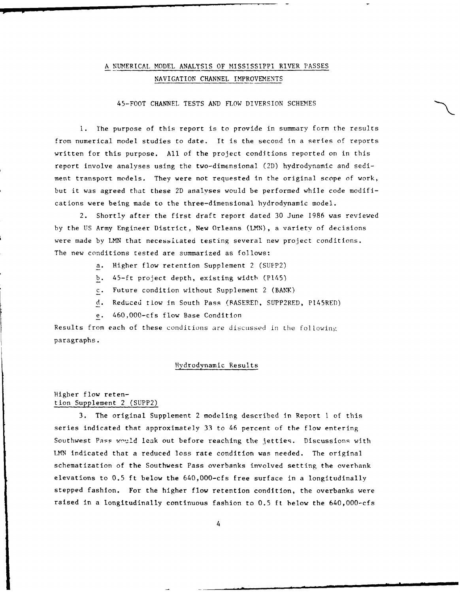# A NUMERICAL MODEL ANALYSIS OF MISSISSIPPI RIVER PASSES NAVIGATION CHANNEL IMPROVEMENTS

### 45-FOOT CHANNEL TESTS **AND** FLOW DIVERSION SCHEMES

**1.** The purpose of this report is to provide in summary form the results from numerical model studies to date. It is the second in a series of reports written for this purpose. All of the project conditions reported on in this report involve analyses using the two-dimensional (2D) hydrodynamic and sediment transport models. They were not requested in the original scope of work, but it was agreed that these 2D analyses would be performed while code modifications were being made to the three-dimensional hydrodynamic model.

2. Shortly after the first draft report dated 30 June 1986 was reviewed by the US Army Engineer District, New Orleans (LMN), a varietv of decisions were made by LMN that necessitated testing several new project conditions. The new conditions tested are summarized as follows:

- a. Higher flow retention Supplement 2 (SUPP2)
- b. 45-ft project depth, existing width (P145)
- c. Future condition without Supplement 2 (BANK)
- d. Reduced tiow in South Pass (BASERED, SUPP2RED, P145RED)
- e. 460,O00-cfs flow Base Condition

Results from each of these conditions are discussed in the following paragraphs.

### Hydrodynamic Results

### Higher flow retention Supplement 2 (SUPP2)

3. The original Supplement 2 modeling described In Report I of this series indicated that approximately 33 to 46 percent of the flow entering Southwest Pass would leak out before reaching the jetties. Discussions with LMN indicated that a reduced loss rate condition was needed. The original schematization of the Southwest Pass overbanks involved setting the overhank elevations to 0.5 ft below the 640,000-cfs free surface in a longitudinally stepped fashion. For the higher flow retention condition, the overbanks were raised in a longitudinally continuous fashion to 0.5 ft below the 640,000-cfs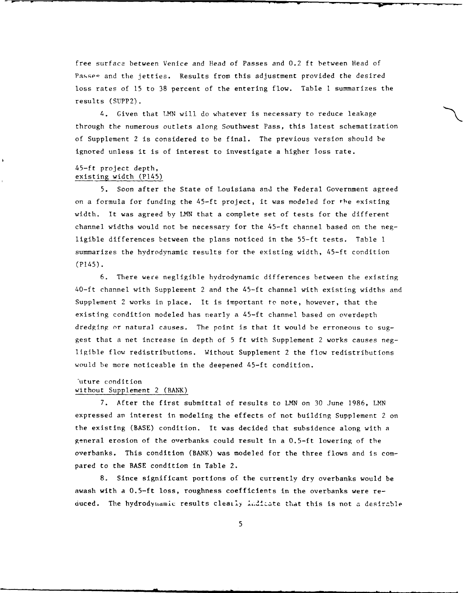free surface between Venice and Head of Passes and 0.2 ft between Head of Passes and the jetties. Results from this adjustment provided the desired loss rates of 15 to 38 percent of the entering flow. Table I summarizes the results (SUPP2).

4. Given that **LMN** will do whatever is necessary to reduce leakage through the numerous outlets along Southwest Pass, this latest schematization of Supplement 2 is considered to be final. The previous version should be ignored unless it is of interest to investigate a higher loss rate.

### 45-ft project depth, existing width (P145)

5. Soon after the State of Louisiana and the Federal Government agreed on a formula for funding the 45-ft project, it was modeled for the existing width. It was agreed by LMN that a complete set of tests for the different channel widths would not be necessary for the 45-ft channel based on the negligible differences between the plans noticed in the 55-ft tests. Table **I** summarizes the hydrodynamic results for the existing width, 45-ft condition (P145).

6. There were negligible hydrodynamic differences between the existing 40-ft channel with Supplement 2 and the 45-ft channel with existing widths and Supplement 2 works in place. It is important to note, however, that the existing condition modeled has nearly a 45-ft channel based on overdepth dredging or natural causes. The point is that it would be erroneous to suggest that a net increase in depth of 5 ft with Supplement 2 works causes negligible flow redistributions. Without Supplement 2 the flow redistributions would be more noticeable in the deepened 45-ft condition.

### Iuture condition without Supplement 2 (BANK)

7. After the first submittal of results to **LMN** on 30 June 1986, LMN expressed an interest in modeling the effects of not building Supplement 2 on the existing (BASE) condition. It was decided that subsidence along with a general erosion of the overbanks could result in a 0.5-ft lowering of the overbanks. This condition (BANK) was modeled for the three flows and is compared to the BASE condition in Table 2.

8. Since significant portions of the currently dry overbanks would be awash with a 0.5-ft loss, roughness coefficients in the overbanks were reduced. The hydrodynamic results clearly indicate that this is not a desirable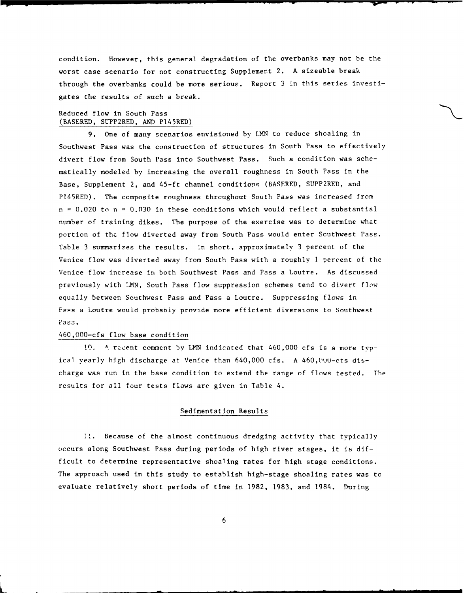condition. However, this general degradation of the overbanks may not be the worst case scenario for not constructing Supplement 2. A sizeable break through the overbanks could be more serious. Report 3 in this series investigates the results of such a break.

### Reduced flow in South Pass (BASERED, SUPP2RED, AND PI45RED)

9. One of many scenarios envisioned by LMN to reduce shoaling in Southwest Pass was the construction of structures in South Pass to effectively divert flow from South Pass into Southwest Pass. Such a condition was schematically modeled by increasing the overall roughness in South Pass in the Base, Supplement 2, and 45-ft channel conditions (BASERED, SUPP2RED, and PI45RED). The composite roughness throughout South Pass was increased from  $n = 0.020$  to  $n = 0.030$  in these conditions which would reflect a substantial number of training dikes. The purpose of the exercise was to determine what portion of the flow diverted away from South Pass would enter Southwest Pass. Table 3 summarizes the results. In short, approximately 3 percent of the Venice flow was diverted away from South Pass with a roughly 1 percent of the Venice flow increase in both Southwest Pass and Pass a Loutre. As discussed previously with LMN, South Pass flow suppression schemes tend to divert flow equally between Southwest Pass and Pass a Loutre. Suppressing flows in Pass a Loutre would probably provide more efficient diversions to southwest Pass.

### 460,O00-cfs flow base condition

10. A recent comment by LMN indicated that 460,000 cfs is a more typical yearly high discharge at Venice than 640,000 cfs. A 460,000-cts discharge was run in the base condition to extend the range of flows tested. The results for all four tests flows are given in Table 4.

### Sedimentation Results

**11.** Because of the almost continuous dredging activity that typically occurs along Southwest Pass during periods of high river stages, it Is difficult to determine representative shoaling rates for high stage conditions. The approach used in this study to establish high-stage shoaling rates was to evaluate relatively short periods of time in 1982, 1983, and 1984. During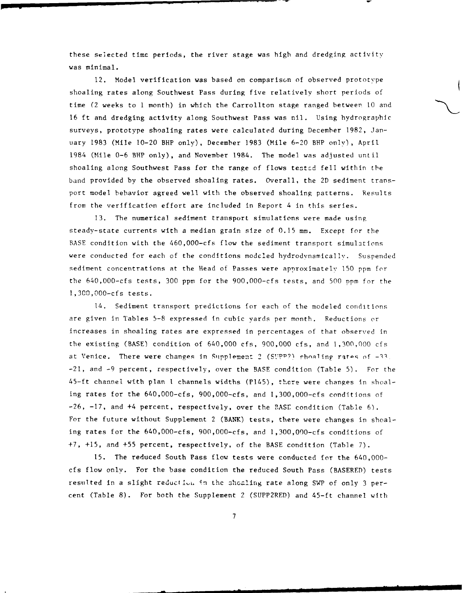these selected time periods, the river stage was high and dredging activity was minimal.

12. Model verification was based on comparison of observed prototype shoaling rates along Southwest Pass during five relatively short periods of time (2 weeks to 1 month) in which the Carrollton stage ranged between **10** and 16 ft and dredging activity along Southwest Pass was nil. Using hydrographic surveys, prototype shoaling rates were calculated during December 1982, January 1983 (Mile 10-20 BHP only), December 1983 (Mile 6-20 BHP only), April 1984 (Mile 0-6 BHP only), and November 1984. The model was adjusted until shoaling along Southwest Pass for the range of flows tested fell within the band provided by the observed shoaling rates. Overall, the 2D sediment transport model behavior agreed well with the observed shoaling patterns. Results from the verification effort are included in Report 4 in this series.

13. The numerical sediment transport simulations were made using steady-state currents with a median grain size of 0.15 mm. Except for the BASE condition with the 460,000-cfs flow the sediment transport simulations were conducted for each of the conditions modeled hydrodynamically. Suspended sediment concentrations at the Head of Passes were approximately **150** ppm for the 640,000-cfs tests, 300 ppm for the 900,000-cfs tests, and 500 ppm for the 1,300,000-cfs tests.

14. Sediment transport predictions for each of the modeled conditions are given in Tables 5-8 expressed In cubic yards per month. Reductions or increases in shoaling rates are expressed in percentages of that observed in the existing (BASE) condition of 640,000 cfs, 900,000 cfs, and 1,300,000 cfs at Venice. There were changes in Supplement 2 (SUPP?) shoaling rates of -33. -21, and -9 percent, respectively, over the BASE condition (Table 5). For the 45-ft channel with plan 1 channels widths (P145), there were changes In shoaling rates for the 640,000-cfs, 900,000-cfs, and 1,300,000-cfs conditions of -26, -17, and +4 percent, respectively, over the BASE condition (Table 6). For the future without Supplement 2 (BANK) tests, there were changes in shoaling rates for the 640,000-cfs, 900,000-cfs, and 1,300,000-cfs conditions of +7, +15, and +55 percent, respectively, of the BASE condition (Table 7).

15. The reduced South Pass flow tests were conducted for the 640,000 cfs flow only. For the base condition the reduced South Pass (BASERED) tests resulted in a slight reduction in the shoaling rate along SWP of only 3 percent (Table 8). For both the Supplement 2 (SUPP2RED) and 45-ft channel with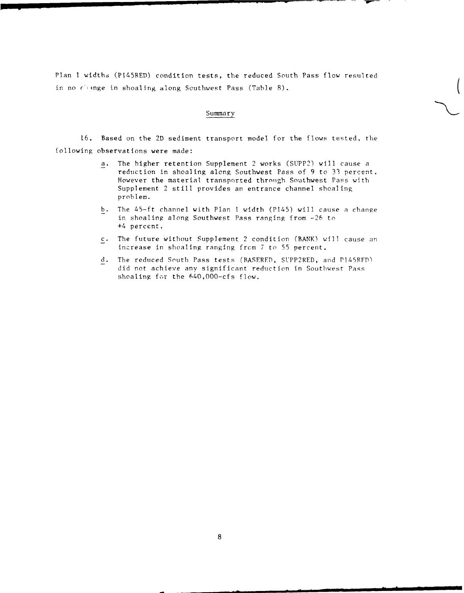Plan I widths (PI45RED) condition tests, the reduced South Pass flow resulted<br>in no cionge in shoaling along Southwest Pass (Table 8).

### Summary

16. Based on the 2D sediment transport model for the flows tested, the following observations were made:

- a. The higher retention Supplement 2 works (SUPP2) will cause a reduction in shoaling along Southwest Pass of 9 to 33 percent. However the material transported through Southwest Pass with Supplement 2 still provides an entrance channel shoaling problem.
- b. The 45-ft channel with Plan I width (P145) will cause a change in shoaling along Southwest Pass ranging from -26 to +4 perccnt.
- c. The future without Supplement 2 condition (BANK) will cause an increase in shoaling ranging from 7 to 55 percent.
- d. The reduced South Pass tests (BASERED, SUPP2RED, and P145RFP) did not achieve any significant reduction in Southwest Pass shoaling for the 640,000-cfs flow.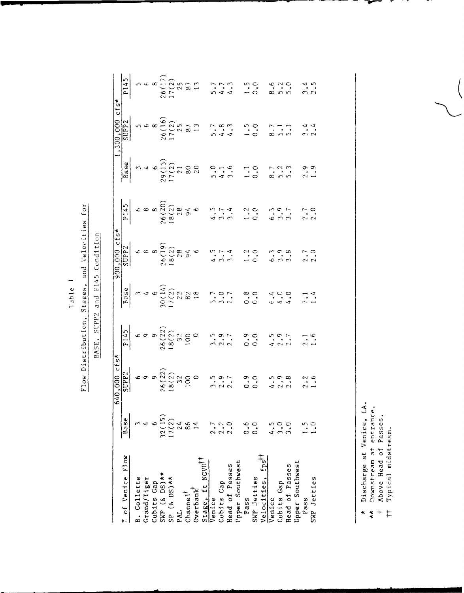| ľ           |  |
|-------------|--|
| ω           |  |
| ∍<br>n<br>۳ |  |

# Flow Distribution, Stages, and Velocities for

BASE, SUPP2 and P145 Condition

|                                                    |                                           | $i$ cfs*<br>640.000                                                |                                                  |                                                         | $900,000$ cfs*                                                          |                                                |        | 300,000                                     | cts                                                       |
|----------------------------------------------------|-------------------------------------------|--------------------------------------------------------------------|--------------------------------------------------|---------------------------------------------------------|-------------------------------------------------------------------------|------------------------------------------------|--------|---------------------------------------------|-----------------------------------------------------------|
| $\frac{7}{4}$ of Venice Flow                       | Base                                      |                                                                    | $\frac{5114}{2}$                                 | Base                                                    | SUPP <sub>2</sub>                                                       | $\frac{145}{}$                                 | Base   | supp <sub>2</sub>                           | P <sub>145</sub>                                          |
| B. Collette<br>Grand/Tiger                         |                                           |                                                                    |                                                  | $30(14)$<br>$30(14)$<br>$17(2)$<br>$22$<br>$82$<br>$18$ |                                                                         |                                                |        |                                             |                                                           |
|                                                    |                                           |                                                                    |                                                  |                                                         | $\infty$                                                                |                                                |        |                                             |                                                           |
|                                                    |                                           | $\sigma$                                                           |                                                  |                                                         |                                                                         |                                                |        | $\infty$                                    |                                                           |
| Cubits Cap<br>SWP (& DS) **<br>SP (& DS) **<br>PAL | $32(15)$<br>17(2)<br>24                   | $\begin{array}{c} 26(22) \\ 18(2) \\ 32 \\ 100 \\ 100 \end{array}$ | $699$<br>$26(22)$<br>$18(2)$<br>$18(2)$<br>$100$ |                                                         | $\begin{array}{c}\n 8 \\  26(19) \\  18(2) \\  284 \\  6\n \end{array}$ | $688$<br>$26(20)$<br>$18(2)$<br>$044$<br>$046$ |        |                                             | $5$<br>$6$<br>$6$<br>$17$<br>$17$<br>$25$<br>$87$<br>$87$ |
|                                                    |                                           |                                                                    |                                                  |                                                         |                                                                         |                                                |        |                                             |                                                           |
|                                                    |                                           |                                                                    |                                                  |                                                         |                                                                         |                                                |        |                                             |                                                           |
| $\qquad \qquad \text{Change I}^{\dagger} \, .$     |                                           |                                                                    |                                                  |                                                         |                                                                         |                                                |        | $\frac{26(16)}{17(2)}$<br>17(2)<br>87<br>13 |                                                           |
| Overbank                                           |                                           |                                                                    |                                                  |                                                         |                                                                         |                                                |        |                                             |                                                           |
|                                                    |                                           |                                                                    |                                                  |                                                         |                                                                         |                                                |        |                                             |                                                           |
| Stage, ft NGVD <sup>††</sup><br>Venice             |                                           |                                                                    |                                                  |                                                         |                                                                         |                                                |        |                                             |                                                           |
| Cubits Gap                                         | $\frac{1}{2}$ $\frac{2}{1}$ $\frac{2}{1}$ |                                                                    |                                                  |                                                         |                                                                         | $\cdot$ $\cdot$ $\cdot$                        |        |                                             |                                                           |
| Head of Passes                                     |                                           |                                                                    |                                                  |                                                         |                                                                         |                                                |        |                                             |                                                           |
| Upper Southwest<br>Pass                            |                                           |                                                                    |                                                  |                                                         |                                                                         |                                                |        |                                             |                                                           |
|                                                    | $\frac{6}{10}$                            |                                                                    |                                                  |                                                         |                                                                         |                                                |        |                                             |                                                           |
| SWP Jetties                                        | 。<br>。                                    | ါ<br>ဂ                                                             | $\frac{1}{2}$                                    | င<br>င                                                  |                                                                         |                                                | း<br>၁ |                                             |                                                           |
| Velocities, fps <sup>††</sup>                      |                                           |                                                                    |                                                  |                                                         |                                                                         |                                                |        |                                             |                                                           |
| Venice                                             |                                           |                                                                    |                                                  |                                                         |                                                                         |                                                |        |                                             |                                                           |
| Cubits Gap                                         |                                           |                                                                    |                                                  |                                                         |                                                                         |                                                |        |                                             |                                                           |
| Head of Passes                                     |                                           |                                                                    |                                                  |                                                         |                                                                         | $\tilde{\phantom{a}}$                          |        |                                             |                                                           |
| Upper Southwest                                    |                                           |                                                                    |                                                  |                                                         |                                                                         |                                                |        |                                             |                                                           |
| Pass                                               |                                           |                                                                    |                                                  |                                                         |                                                                         |                                                |        |                                             |                                                           |
| SWP Jetties                                        |                                           |                                                                    |                                                  |                                                         |                                                                         |                                                |        |                                             |                                                           |

: Discharge at Venice, LA.<br>: Downstream at entrance.<br>: Above Head of Passes.<br><sup>-</sup> Typical midstream.  $\ddot{\phantom{1}}$ 

 $* +$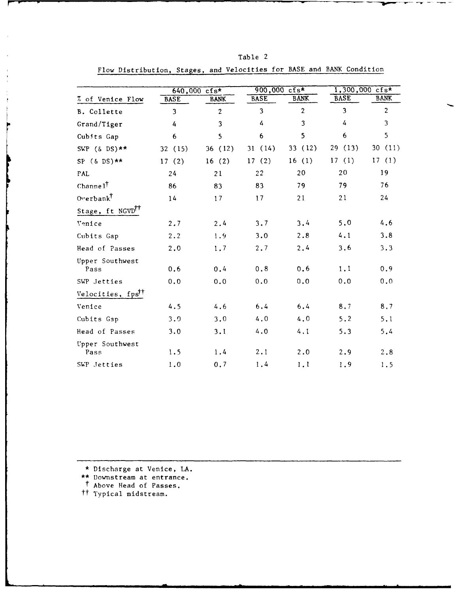|                               |             | $640,000$ cfs* | 900,000 cfs*            |                | $1,300,000$ cfs* |                |  |
|-------------------------------|-------------|----------------|-------------------------|----------------|------------------|----------------|--|
| % of Venice Flow              | <b>BASE</b> | <b>BANK</b>    | <b>BASE</b>             | <b>BANK</b>    | <b>BASE</b>      | <b>BANK</b>    |  |
| B. Collette                   | 3           | $\overline{2}$ | $\overline{\mathbf{3}}$ | $\overline{2}$ | $\overline{3}$   | $\overline{c}$ |  |
| Grand/Tiger                   | 4           | 3              | 4                       | 3              | 4                | 3              |  |
| Cubits Gap                    | 6           | 5              | 6                       | 5              | 6                | 5              |  |
| SWP $(\&$ DS) **              | 32 (15)     | 36 (12)        | 31(14)                  | 33 (12)        | 29(13)           | 30(11)         |  |
| $SP ( & DS)$ **               | 17(2)       | 16(2)          | 17(2)                   | 16(1)          | 17(1)            | 17(1)          |  |
| PAL                           | 24          | 21             | 22                      | 20             | 20               | 19             |  |
| Channel <sup>†</sup>          | 86          | 83             | 83                      | 79             | 79               | 76             |  |
| Overbank <sup>†</sup>         | 14          | 17             | 17                      | 21             | 21               | 24             |  |
| Stage, ft NGVD <sup>TT</sup>  |             |                |                         |                |                  |                |  |
| Venice                        | 2.7         | 2.4            | 3.7                     | 3.4            | 5.0              | 4.6            |  |
| Cubits Gap                    | 2.2         | 1.9            | 3.0                     | 2.8            | 4.1              | 3.8            |  |
| Head of Passes                | 2.0         | 1.7            | 2.7                     | 2.4            | 3.6              | 3.3            |  |
| Upper Southwest<br>Pass       | 0.6         | 0.4            | 0.8                     | 0.6            | 1.1              | 0.9            |  |
| SWP Jetties                   | 0.0         | 0.0            | 0.0                     | 0.0            | 0.0              | 0.0            |  |
| Velocities, fps <sup>††</sup> |             |                |                         |                |                  |                |  |
| Venice                        | 4.5         | 4.6            | 6.4                     | 6.4            | 8.7              | 8.7            |  |
| Cubits Gap                    | 3.0         | 3.0            | 4.0                     | 4.0            | 5.2              | 5.1            |  |
| Head of Passes                | 3.0         | 3.1            | 4.0                     | 4.1            | 5.3              | 5.4            |  |
| Upper Southwest               |             |                |                         |                |                  |                |  |
| Pass                          | 1.5         | 1.4            | 2.1                     | 2.0            | 2.9              | 2.8            |  |
| SWP Jetties                   | 1.0         | 0.7            | 1.4                     | 1.1            | 1.9              | 1.5            |  |

Flow Distribution, Stages, and Velocities for BASE and BANK Condition

Table 2

\* Discharge at Venice, LA.

- \*\* Downstream at entrance.
- t Above Head of Passes. tt Typical midstream.
-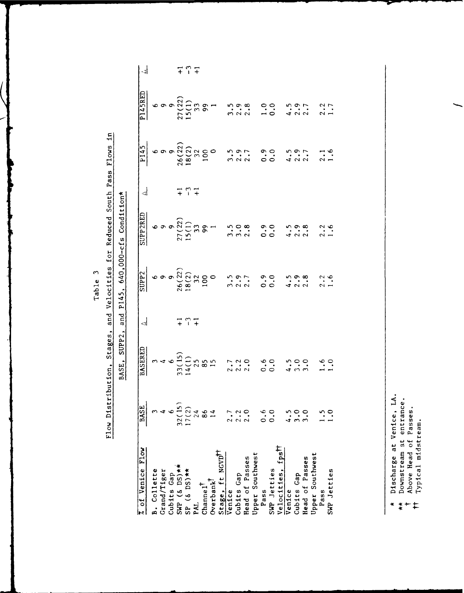| ొ           |  |
|-------------|--|
| ω<br>윿<br>н |  |

Flow Distribution, Stages, and Velocities for Reduced South Pass Flows in BASE, SUPP2, and P145, 640,000-cfs Condition\*

| 7 of Venice Flow                                   | <b>BASE</b>    | <b>BASERED</b>                                          | $\overline{\mathbb{R}}$ | $\frac{\text{SUP2}}{\text{SUP2}}$ | <b>UPP2RED</b>                                                                    | $\triangleleft$ | P145 | P145RED                                                                                                                                                                                                                                                                                                                         | ات  |
|----------------------------------------------------|----------------|---------------------------------------------------------|-------------------------|-----------------------------------|-----------------------------------------------------------------------------------|-----------------|------|---------------------------------------------------------------------------------------------------------------------------------------------------------------------------------------------------------------------------------------------------------------------------------------------------------------------------------|-----|
|                                                    |                |                                                         |                         |                                   | $69900$<br>$2700$<br>$271$<br>$2799$<br>$399$<br>$399$<br>$399$<br>$399$<br>$399$ |                 |      |                                                                                                                                                                                                                                                                                                                                 |     |
| B. Collette<br>Grand/Tiger                         |                |                                                         |                         |                                   |                                                                                   |                 |      |                                                                                                                                                                                                                                                                                                                                 |     |
|                                                    |                |                                                         |                         |                                   |                                                                                   |                 |      |                                                                                                                                                                                                                                                                                                                                 |     |
| Cubits Cap<br>SWP (& DS) **<br>SP (& DS) **<br>PAL | 32(15)         | $33(15)$<br>$46(15)$<br>$14(1)$<br>$25$<br>$25$<br>$15$ |                         |                                   |                                                                                   | 777             |      |                                                                                                                                                                                                                                                                                                                                 |     |
|                                                    | 17(2)          |                                                         | 777                     |                                   |                                                                                   |                 |      |                                                                                                                                                                                                                                                                                                                                 | 777 |
|                                                    | $\mathcal{L}$  |                                                         |                         |                                   |                                                                                   |                 |      |                                                                                                                                                                                                                                                                                                                                 |     |
| $\frac{1}{2}$                                      | 86             |                                                         |                         |                                   |                                                                                   |                 |      |                                                                                                                                                                                                                                                                                                                                 |     |
| $0$ verbank $^{\dagger}$                           |                |                                                         |                         |                                   |                                                                                   |                 |      |                                                                                                                                                                                                                                                                                                                                 |     |
| Stage, ft NGVD <sup>++</sup>                       |                |                                                         |                         |                                   |                                                                                   |                 |      | $\begin{matrix} 6 & 0 & 0 & 0 \\ 0 & 0 & 0 & 0 \\ 0 & 0 & 0 & 0 \\ 0 & 0 & 0 & 0 \\ 0 & 0 & 0 & 0 \\ 0 & 0 & 0 & 0 \\ 0 & 0 & 0 & 0 \\ 0 & 0 & 0 & 0 \\ 0 & 0 & 0 & 0 \\ 0 & 0 & 0 & 0 \\ 0 & 0 & 0 & 0 \\ 0 & 0 & 0 & 0 \\ 0 & 0 & 0 & 0 \\ 0 & 0 & 0 & 0 \\ 0 & 0 & 0 & 0 \\ 0 & 0 & 0 & 0 \\ 0 & 0 & 0 & 0 \\ 0 & 0 & 0 & 0$ |     |
| Venice                                             |                | $\frac{7}{100}$                                         |                         |                                   |                                                                                   |                 |      |                                                                                                                                                                                                                                                                                                                                 |     |
| Cubits Cap                                         |                |                                                         |                         |                                   |                                                                                   |                 |      |                                                                                                                                                                                                                                                                                                                                 |     |
| Head of Passes                                     |                |                                                         |                         |                                   |                                                                                   |                 |      |                                                                                                                                                                                                                                                                                                                                 |     |
| Upper Southwest                                    |                |                                                         |                         |                                   |                                                                                   |                 |      |                                                                                                                                                                                                                                                                                                                                 |     |
| Pass                                               | 0.6            | $\frac{6}{10}$                                          |                         |                                   | 0.0                                                                               |                 |      |                                                                                                                                                                                                                                                                                                                                 |     |
|                                                    | $\ddot{\circ}$ |                                                         |                         |                                   |                                                                                   |                 |      |                                                                                                                                                                                                                                                                                                                                 |     |
| SWP Jetties<br>Velocities, fps <sup>11</sup>       |                |                                                         |                         |                                   |                                                                                   |                 |      | $1.00$<br>0.5<br>4.5<br>2.7                                                                                                                                                                                                                                                                                                     |     |
| Venice                                             |                |                                                         |                         |                                   |                                                                                   |                 |      |                                                                                                                                                                                                                                                                                                                                 |     |
| Cubits Gap                                         |                | $\ddot{\cdot}$                                          |                         |                                   |                                                                                   |                 |      |                                                                                                                                                                                                                                                                                                                                 |     |
| Head of Passes                                     |                | $\ddot{\cdot}$                                          |                         |                                   |                                                                                   |                 |      |                                                                                                                                                                                                                                                                                                                                 |     |
| Upper Southwest                                    |                |                                                         |                         |                                   |                                                                                   |                 |      |                                                                                                                                                                                                                                                                                                                                 |     |
| Pass                                               |                |                                                         |                         |                                   |                                                                                   |                 |      |                                                                                                                                                                                                                                                                                                                                 |     |
| SWP Jetties                                        |                |                                                         |                         |                                   |                                                                                   |                 |      |                                                                                                                                                                                                                                                                                                                                 |     |
|                                                    |                |                                                         |                         |                                   |                                                                                   |                 |      |                                                                                                                                                                                                                                                                                                                                 |     |

Discharge at Venice, LA.<br>Downstream at entrance.<br>Above Head of Passes.<br>Typical midstream.

 $\ddot{\phantom{1}}$ 

 $*++$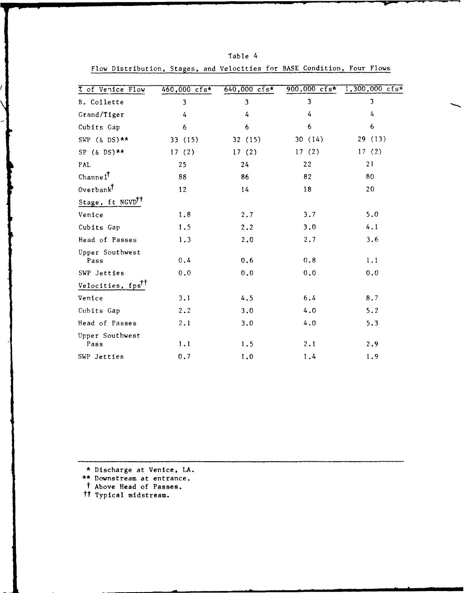| <b><i><u>7</u></i></b> of Venice Flow | $460,000$ cfs* | $640,000$ cfs* |        | 900,000 $\text{cfs*}$ 1,300,000 $\text{cfs*}$ |
|---------------------------------------|----------------|----------------|--------|-----------------------------------------------|
| B. Collette                           | 3              | 3              | 3      | 3                                             |
| Grand/Tiger                           | 4              | 4              | 4      | 4                                             |
| Cubits Gap                            | 6              | 6              | 6      | 6                                             |
| SWP $(\&$ DS) **                      | 33 (15)        | 32(15)         | 30(14) | 29 (13)                                       |
| SP $(\&$ DS) **                       | 17(2)          | 17(2)          | 17(2)  | 17(2)                                         |
| PAL                                   | 25             | 24             | 22     | 21                                            |
| $Channe1^{\dagger}$                   | 88             | 86             | 82     | 80                                            |
| $0$ verban $\vec{k}^{\dagger}$        | 12             | 14             | 18     | 20                                            |
| Stage, ft NGVD <sup>TT</sup>          |                |                |        |                                               |
| Venice                                | 1.8            | 2.7            | 3.7    | 5.0                                           |
| Cubits Gap                            | 1.5            | 2.2            | 3.0    | 4.1                                           |
| Head of Passes                        | 1.3            | 2.0            | 2.7    | 3.6                                           |
| Upper Southwest<br>Pass               | 0.4            | 0.6            | 0.8    | 1,1                                           |
| SWP Jetties                           | $0.0$          | 0.0            | 0.0    | 0.0                                           |
| Velocities, fps <sup>††</sup>         |                |                |        |                                               |
| Venice                                | 3.1            | 4.5            | 6.4    | 8.7                                           |
| Cubits Gap                            | 2.2            | 3.0            | 4.0    | 5.2                                           |
| Head of Passes                        | 2.1            | 3.0            | 4.0    | 5.3                                           |
| Upper Southwest<br>Pass               | 1.1            | 1.5            | 2.1    | 2.9                                           |
| SWP Jetties                           | 0.7            | 1.0            | 1.4    | 1.9                                           |

Table 4 Flow Distribution, Stages, and Velocities for BASE Condition, Four Flows

Discharge at Venice, **LA.**

\*\* Downstream at entrance.

t Above Head of Passes.

tt Typical midstream.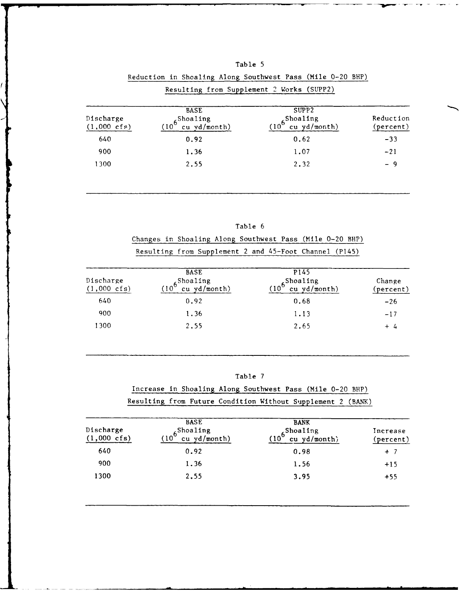|                                    |                                                            | Resulting from Supplement 2 Works (SUPP2)               |                        |
|------------------------------------|------------------------------------------------------------|---------------------------------------------------------|------------------------|
| Discharge<br>$(1,000 \text{ cfs})$ | <b>BASE</b><br>$(10^{6}$ Shoaling<br>$cu \text{yd/month)}$ | SUPP2<br>6 <sup>Shoaling</sup><br>$cu$ yd/month)<br>(10 | Reduction<br>(percent) |
| 640                                | 0.92                                                       | 0.62                                                    | $-33$                  |
| 900                                | 1.36                                                       | 1.07                                                    | $-21$                  |
| 1300                               | 2.55                                                       | 2.32                                                    | - 9                    |

| Reduction in Shoaling Along Southwest Pass (Mile 0-20 BHP) |  |  | Table 5 |  |  |
|------------------------------------------------------------|--|--|---------|--|--|
|                                                            |  |  |         |  |  |

|                                                          |  |  | Table 6 |  |  |  |
|----------------------------------------------------------|--|--|---------|--|--|--|
| Changes in Shoaling Along Southwest Pass (Mile 0-20 BHP) |  |  |         |  |  |  |
| Resulting from Supplement 2 and 45-Foot Channel (P145)   |  |  |         |  |  |  |

| Discharge<br>$(1,000 \text{ cfs})$ | <b>BASE</b><br>$(106$ Shoaling<br>(10 <sup>6</sup> cu yd/month) | P145<br>$6 \frac{\text{Shoaling}}{\text{cu yd/month}}$ | Change<br>(percent) |
|------------------------------------|-----------------------------------------------------------------|--------------------------------------------------------|---------------------|
| 640                                | 0.92                                                            | 0.68                                                   | $-26$               |
| 900                                | 1.36                                                            | 1.13                                                   | $-17$               |
| l 300                              | 2.55                                                            | 2.65                                                   | $+4$                |

# Table 7

Increase in Shoaling Along Southwest Pass (Mile 0-20 BHP) Resulting from Future Condition Without Supplement 2 (BANK)

| Discharge<br>$(1,000 \text{ cfs})$ | <b>BASE</b><br>$6^{Shoaling}$<br>cu yd/month)<br>(10) | <b>BANK</b><br>$\frac{65 \text{hoaling}}{10^{6} \text{ cuyd}}$<br>cu yd/month) | Increase<br>(percent) |
|------------------------------------|-------------------------------------------------------|--------------------------------------------------------------------------------|-----------------------|
| 640                                | 0.92                                                  | 0.98                                                                           | $+7$                  |
| 900                                | 1.36                                                  | 1.56                                                                           | $+15$                 |
| 1300                               | 2.55                                                  | 3.95                                                                           | $+55$                 |